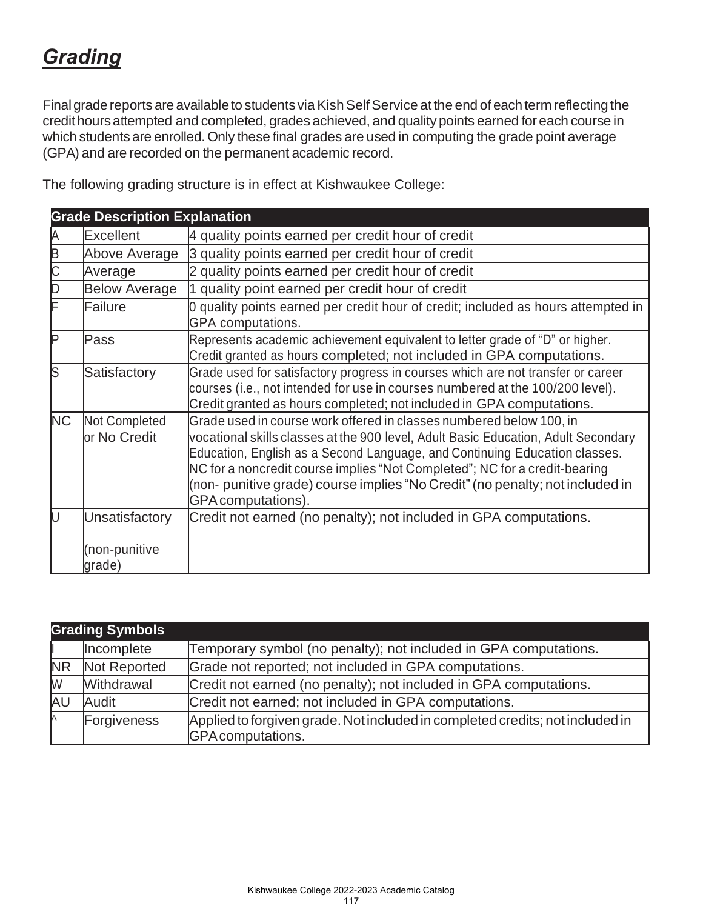# *Grading*

Final grade reports are available to students via Kish Self Service at the end of each term reflecting the credithoursattempted and completed, grades achieved, and quality points earned for each course in which students are enrolled. Only these final grades are used in computing the grade point average (GPA) and are recorded on the permanent academic record.

**Grade Description Explanation**  $\mathsf E$ xcellent  $\mathsf A$  quality points earned per credit hour of credit B Above Average 3 quality points earned per credit hour of credit Average 2 quality points earned per credit hour of credit D Below Average 1 quality point earned per credit hour of credit Failure **19 D** quality points earned per credit hour of credit; included as hours attempted in GPA computations. P Pass Represents academic achievement equivalent to letter grade of "D" or higher. Credit granted as hours completed; not included in GPA computations. S Satisfactory Grade used for satisfactory progress in courses which are not transfer or career courses (i.e., not intended for use in courses numbered at the 100/200 level). Credit granted as hours completed; not included in GPA computations. NC Not Completed or No Credit Grade used in course work offered in classes numbered below 100, in vocational skills classes at the 900 level, Adult Basic Education, Adult Secondary Education, English as a Second Language, and Continuing Education classes. NC for a noncredit course implies "Not Completed"; NC for a credit-bearing (non- punitive grade) course implies "No Credit"(no penalty; not included in GPAcomputations). U **Unsatisfactory** (non-punitive grade) Credit not earned (no penalty); not included in GPA computations.

The following grading structure is in effect at Kishwaukee College:

| <b>Grading Symbols</b> |              |                                                                                                    |  |  |
|------------------------|--------------|----------------------------------------------------------------------------------------------------|--|--|
|                        | Incomplete   | Temporary symbol (no penalty); not included in GPA computations.                                   |  |  |
| <b>NR</b>              | Not Reported | Grade not reported; not included in GPA computations.                                              |  |  |
| W                      | Withdrawal   | Credit not earned (no penalty); not included in GPA computations.                                  |  |  |
| AU                     | Audit        | Credit not earned; not included in GPA computations.                                               |  |  |
| ∧                      | Forgiveness  | Applied to forgiven grade. Not included in completed credits; not included in<br>GPA computations. |  |  |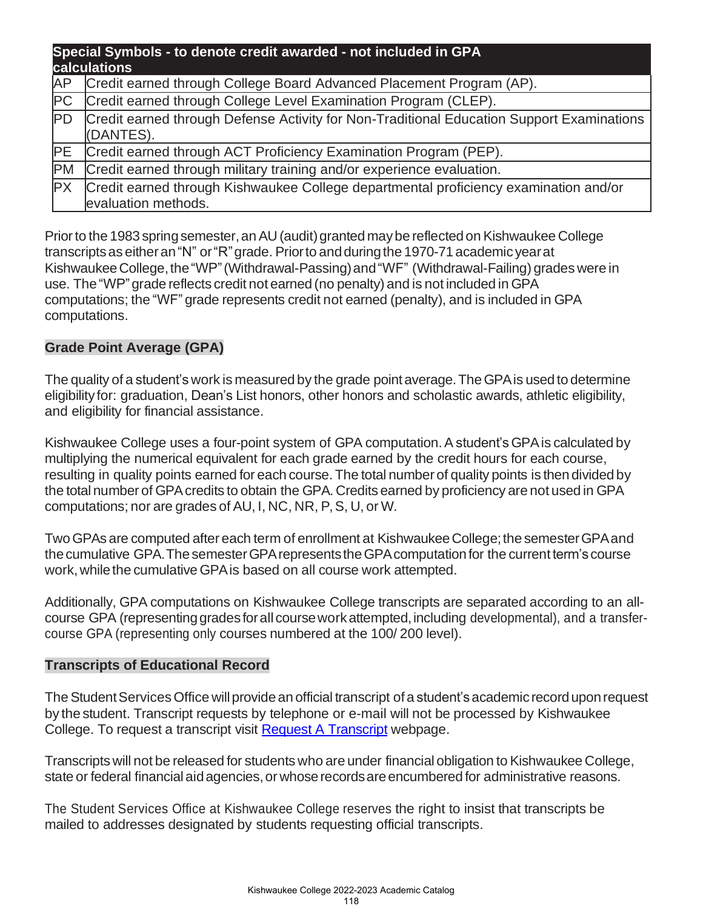| Special Symbols - to denote credit awarded - not included in GPA<br>calculations |                                                                                                             |  |  |  |
|----------------------------------------------------------------------------------|-------------------------------------------------------------------------------------------------------------|--|--|--|
| <b>AP</b>                                                                        | Credit earned through College Board Advanced Placement Program (AP).                                        |  |  |  |
| PC                                                                               | Credit earned through College Level Examination Program (CLEP).                                             |  |  |  |
| <b>PD</b>                                                                        | Credit earned through Defense Activity for Non-Traditional Education Support Examinations<br>(DANTES).      |  |  |  |
|                                                                                  | PE Credit earned through ACT Proficiency Examination Program (PEP).                                         |  |  |  |
| <b>PM</b>                                                                        | Credit earned through military training and/or experience evaluation.                                       |  |  |  |
| PX                                                                               | Credit earned through Kishwaukee College departmental proficiency examination and/or<br>evaluation methods. |  |  |  |

Prior to the 1983 spring semester, an AU (audit) granted may be reflected on Kishwaukee College transcripts as either an "N" or "R" grade. Prior to and during the 1970-71 academic year at KishwaukeeCollege,the"WP"(Withdrawal-Passing)and"WF" (Withdrawal-Failing) grades were in use. The"WP"grade reflects credit not earned (no penalty) and is not included in GPA computations; the "WF" grade represents credit not earned (penalty), and is included in GPA computations.

#### **Grade Point Average (GPA)**

The quality of a student's work is measured by the grade point average. The GPA is used to determine eligibility for: graduation, Dean's List honors, other honors and scholastic awards, athletic eligibility, and eligibility for financial assistance.

Kishwaukee College uses a four-point system of GPA computation. A student's GPA is calculated by multiplying the numerical equivalent for each grade earned by the credit hours for each course, resulting in quality points earned for each course.The total number of quality points is then divided by the total number of GPAcredits to obtain the GPA. Credits earned by proficiency are not used in GPA computations; nor are grades of AU, I, NC, NR, P,S, U, or W.

TwoGPAs are computed after each term of enrollment at KishwaukeeCollege;the semesterGPAand the cumulative GPA. The semester GPA represents the GPA computation for the current term's course work, while the cumulative GPA is based on all course work attempted.

Additionally, GPA computations on Kishwaukee College transcripts are separated according to an allcourse GPA (representing grades for all course work attempted, including developmental), and a transfercourse GPA (representing only courses numbered at the 100/ 200 level).

#### **Transcripts of Educational Record**

The Student Services Office will provide an official transcript of a student's academic record upon request by the student. Transcript requests by telephone or e-mail will not be processed by Kishwaukee College. To request a transcript visit [Request A Transcript](https://kish.edu/academics/resources/request-transcript.php) webpage.

Transcripts will not be released for students who are under financial obligation to Kishwaukee College, state or federal financial aid agencies, or whose records are encumbered for administrative reasons.

The Student Services Office at Kishwaukee College reserves the right to insist that transcripts be mailed to addresses designated by students requesting official transcripts.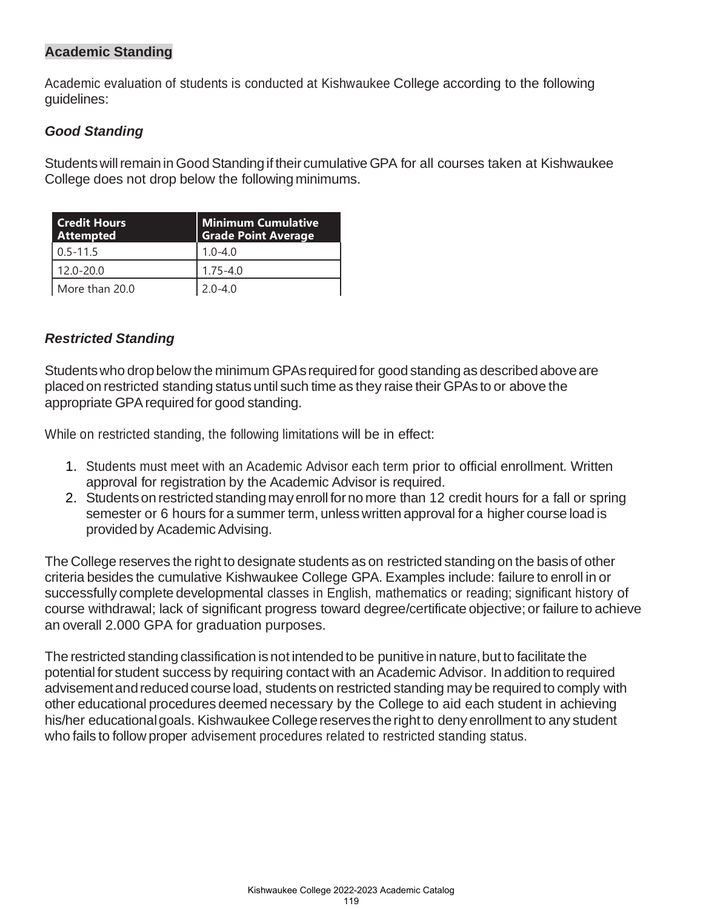# **Academic Standing**

Academic evaluation of students is conducted at Kishwaukee College according to the following guidelines:

#### *Good Standing*

Students will remain in Good Standing if their cumulative GPA for all courses taken at Kishwaukee College does not drop below the following minimums.

| <b>Credit Hours</b><br><b>Attempted</b> | <b>Minimum Cumulative</b><br><b>Grade Point Average</b> |
|-----------------------------------------|---------------------------------------------------------|
| $0.5 - 11.5$                            | $1.0 - 4.0$                                             |
| 12.0-20.0                               | $1.75 - 4.0$                                            |
| More than 20.0                          | $2.0 - 4.0$                                             |

#### *Restricted Standing*

Students who drop below the minimum GPAs required for good standing as described above are placedon restricted standing status until such time as they raise their GPAs to or above the appropriate GPA required for good standing.

While on restricted standing, the following limitations will be in effect:

- 1. Students must meet with an Academic Advisor each term prior to official enrollment. Written approval for registration by the Academic Advisor is required.
- 2. Students on restricted standing may enroll for no more than 12 credit hours for a fall or spring semester or 6 hours for a summer term, unless written approval for a higher course load is provided by Academic Advising.

The College reserves the right to designate students as on restricted standing on the basis of other criteria besides the cumulative Kishwaukee College GPA. Examples include: failure to enroll in or successfully complete developmental classes in English, mathematics or reading; significant history of course withdrawal; lack of significant progress toward degree/certificate objective; or failure to achieve an overall 2.000 GPA for graduation purposes.

The restricted standing classification is not intended to be punitive in nature, but to facilitate the potential for student success by requiring contact with an Academic Advisor. Inadditionto required advisement and reduced course load, students on restricted standing may be required to comply with other educational procedures deemed necessary by the College to aid each student in achieving his/her educational goals. Kishwaukee College reserves the right to deny enrollment to any student who fails to follow proper advisement procedures related to restricted standing status.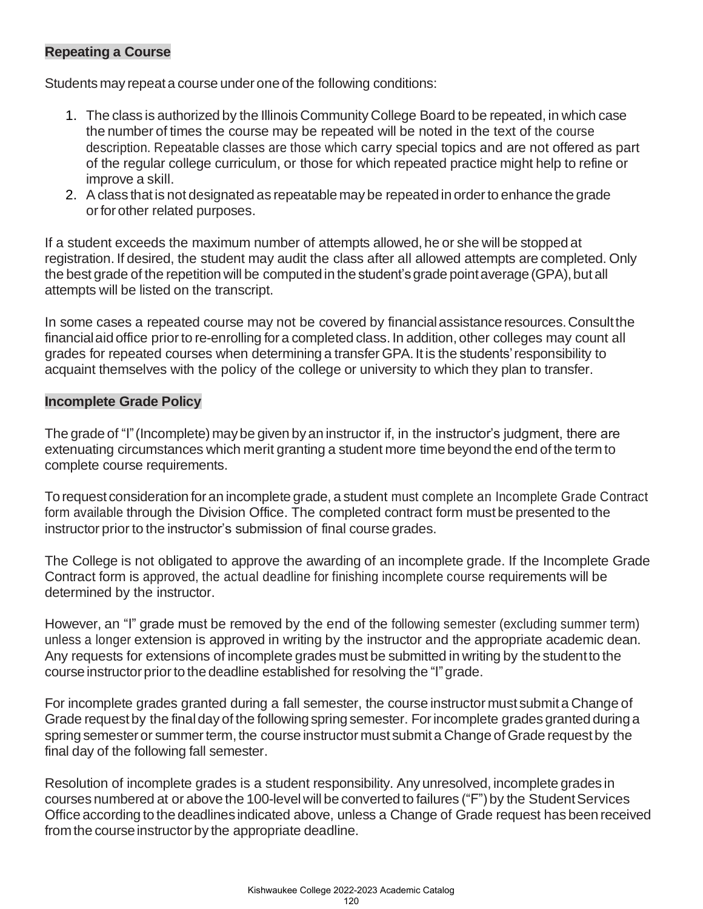# **Repeating a Course**

Students may repeat a course under one of the following conditions:

- 1. The class is authorized by the Illinois Community College Board to be repeated, in which case the number of times the course may be repeated will be noted in the text of the course description. Repeatable classes are those which carry special topics and are not offered as part of the regular college curriculum, or those for which repeated practice might help to refine or improve a skill.
- 2. Aclass thatis not designated as repeatable may be repeatedin orderto enhance the grade orfor other related purposes.

If a student exceeds the maximum number of attempts allowed, he or she will be stopped at registration. If desired, the student may audit the class after all allowed attempts are completed. Only the best grade of the repetition will be computed in the student's grade point average (GPA), but all attempts will be listed on the transcript.

In some cases a repeated course may not be covered by financial assistance resources. Consult the financialaidoffice priorto re-enrolling for a completed class. In addition, other colleges may count all grades for repeated courses when determining a transfer GPA. It is the students' responsibility to acquaint themselves with the policy of the college or university to which they plan to transfer.

#### **Incomplete Grade Policy**

The grade of "I"(Incomplete) maybe given by an instructor if, in the instructor's judgment, there are extenuating circumstances which merit granting a student more timebeyondthe end ofthe term to complete course requirements.

Torequest consideration for an incomplete grade, a student must complete an Incomplete Grade Contract form available through the Division Office. The completed contract form must be presented to the instructor prior to the instructor's submission of final course grades.

The College is not obligated to approve the awarding of an incomplete grade. If the Incomplete Grade Contract form is approved, the actual deadline for finishing incomplete course requirements will be determined by the instructor.

However, an "I" grade must be removed by the end of the following semester (excluding summer term) unless a longer extension is approved in writing by the instructor and the appropriate academic dean. Any requests for extensions of incomplete grades must be submitted in writing by the studentto the course instructor prior to the deadline established for resolving the "I" grade.

For incomplete grades granted during a fall semester, the course instructor must submit a Change of Grade request by the final day of the following spring semester. For incomplete grades granted during a spring semester or summer term, the course instructor must submit a Change of Grade request by the final day of the following fall semester.

Resolution of incomplete grades is a student responsibility. Any unresolved, incomplete grades in courses numbered at or above the 100-level will be converted to failures ("F") by the Student Services Office according to the deadlines indicated above, unless a Change of Grade request has been received from the course instructor by the appropriate deadline.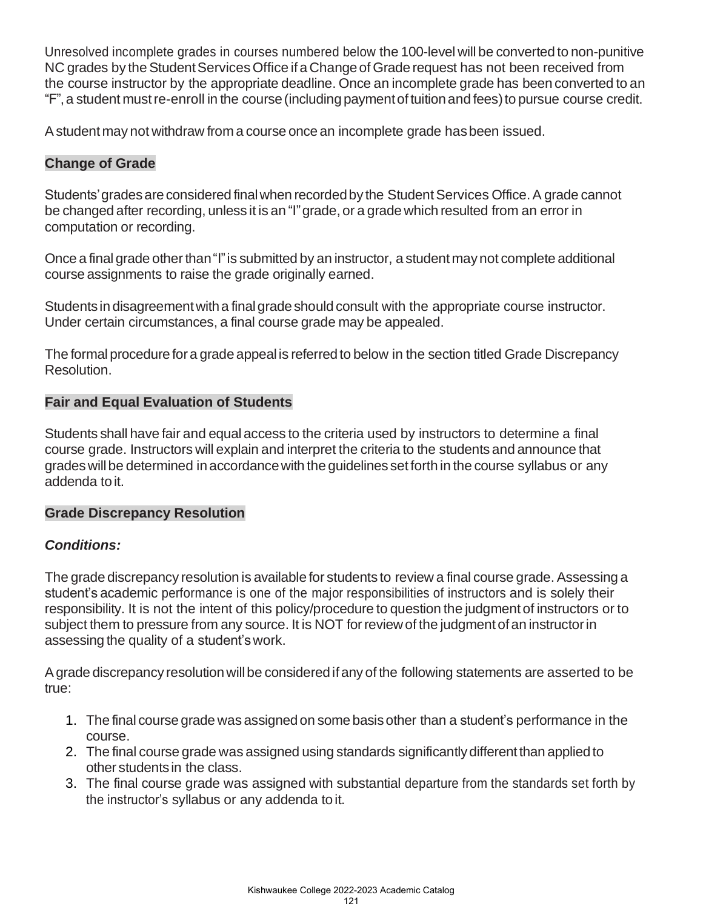Unresolved incomplete grades in courses numbered below the 100-level will be converted to non-punitive NC grades by the Student Services Office if a Change of Grade request has not been received from the course instructor by the appropriate deadline. Once an incomplete grade has been converted to an "F",a student mustre-enroll in the course(includingpaymentoftuitionand fees)to pursue course credit.

Astudent may not withdraw from a course once an incomplete grade hasbeen issued.

# **Change of Grade**

Students' grades are considered final when recorded by the Student Services Office. A grade cannot be changed after recording, unless it is an "I" grade, or a grade which resulted from an error in computation or recording.

Once a final grade other than "I" is submitted by an instructor, a student may not complete additional course assignments to raise the grade originally earned.

Students in disagreement with a final grade should consult with the appropriate course instructor. Under certain circumstances, a final course grade may be appealed.

The formal procedure for a grade appeal is referred to below in the section titled Grade Discrepancy Resolution.

#### **Fair and Equal Evaluation of Students**

Students shall have fair and equal access to the criteria used by instructors to determine a final course grade. Instructors will explain and interpret the criteria to the students and announce that grades will be determined in accordance with the guidelines set forth in the course syllabus or any addenda toit.

#### **Grade Discrepancy Resolution**

# *Conditions:*

The grade discrepancy resolution is available for students to review a final course grade. Assessing a student's academic performance is one of the major responsibilities of instructors and is solely their responsibility. It is not the intent of this policy/procedure to question the judgment of instructors or to subject them to pressure from any source. It is NOT for review of the judgment of an instructor in assessing the quality of a student'swork.

Agrade discrepancy resolutionwillbe consideredifany of the following statements are asserted to be true:

- 1. The final course grade was assignedon some basisother than a student's performance in the course.
- 2. The final course grade was assigned using standards significantlydifferent than appliedto other students in the class.
- 3. The final course grade was assigned with substantial departure from the standards set forth by the instructor's syllabus or any addenda toit.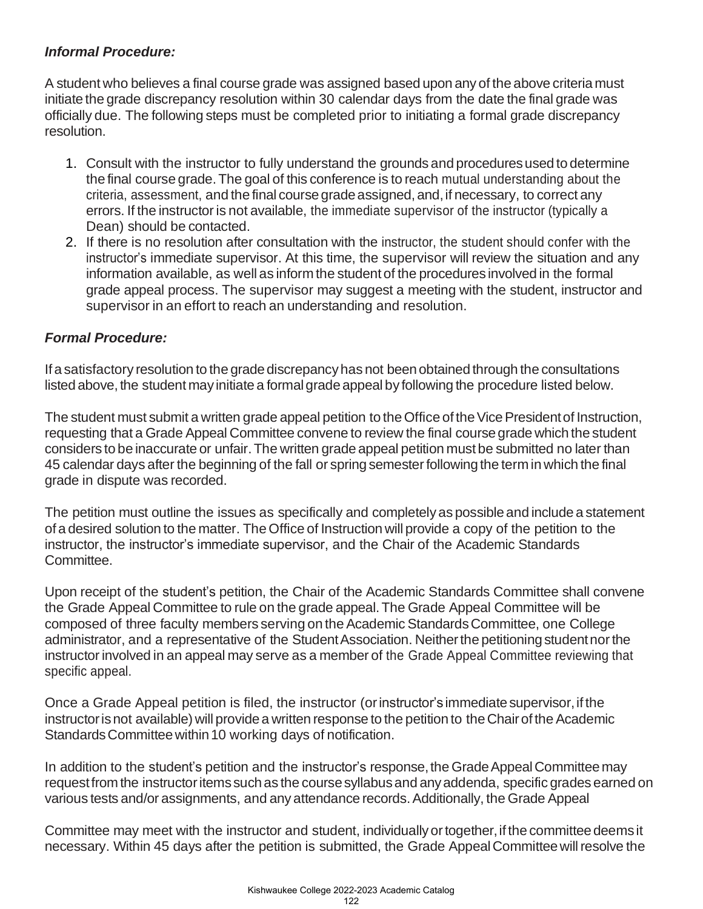# *Informal Procedure:*

A student who believes a final course grade was assigned based upon any of the above criteria must initiate the grade discrepancy resolution within 30 calendar days from the date the final grade was officially due. The following steps must be completed prior to initiating a formal grade discrepancy resolution.

- 1. Consult with the instructor to fully understand the grounds and procedures used to determine the final course grade.The goal of this conference is to reach mutual understanding about the criteria, assessment, and the final coursegradeassigned, and,if necessary, to correct any errors. If the instructor is not available, the immediate supervisor of the instructor (typically a Dean) should be contacted.
- 2. If there is no resolution after consultation with the instructor, the student should confer with the instructor's immediate supervisor. At this time, the supervisor will review the situation and any information available, as well as inform the student of the procedures involved in the formal grade appeal process. The supervisor may suggest a meeting with the student, instructor and supervisor in an effort to reach an understanding and resolution.

# *Formal Procedure:*

Ifa satisfactory resolution to the gradediscrepancyhas not beenobtained through the consultations listed above, the student may initiate a formal grade appeal by following the procedure listed below.

The student must submit a written grade appeal petition to the Office of the Vice President of Instruction, requesting that a Grade Appeal Committee convene to review the final coursegrade which the student considers to be inaccurate or unfair. The written grade appeal petition must be submitted no later than 45 calendar days after the beginning of the fall or spring semesterfollowingthe term in which the final grade in dispute was recorded.

The petition must outline the issues as specifically and completelyas possibleand include a statement ofa desired solution to the matter. TheOffice of Instruction will provide a copy of the petition to the instructor, the instructor's immediate supervisor, and the Chair of the Academic Standards Committee.

Upon receipt of the student's petition, the Chair of the Academic Standards Committee shall convene the Grade Appeal Committee to rule on the grade appeal.The Grade Appeal Committee will be composed of three faculty members serving on the Academic Standards Committee, one College administrator, and a representative of the Student Association. Neither the petitioning student nor the instructor involved in an appeal may serve as a member of the Grade Appeal Committee reviewing that specific appeal.

Once a Grade Appeal petition is filed, the instructor (or instructor's immediate supervisor, if the instructor is not available) will provide a written response to the petition to the Chair of the Academic Standards Committee within 10 working days of notification.

In addition to the student's petition and the instructor's response, the Grade Appeal Committee may request from the instructor items such as the course syllabus and any addenda, specific grades earned on various tests and/or assignments, and any attendance records.Additionally, the Grade Appeal

Committee may meet with the instructor and student, individually or together, if the committee deems it necessary. Within 45 days after the petition is submitted, the Grade Appeal Committee will resolve the